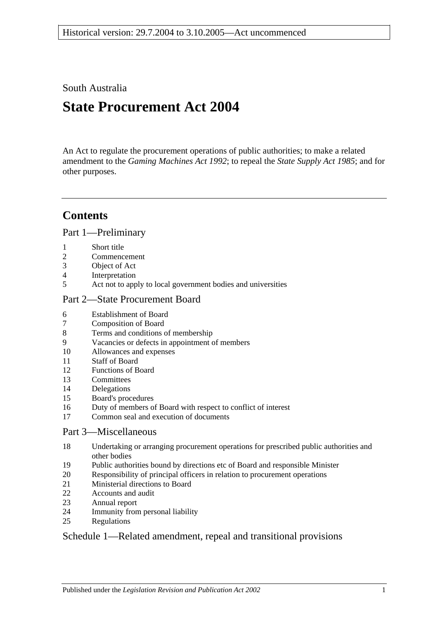South Australia

# **State Procurement Act 2004**

An Act to regulate the procurement operations of public authorities; to make a related amendment to the *[Gaming Machines Act](http://www.legislation.sa.gov.au/index.aspx?action=legref&type=act&legtitle=Gaming%20Machines%20Act%201992) 1992*; to repeal the *[State Supply Act](http://www.legislation.sa.gov.au/index.aspx?action=legref&type=act&legtitle=State%20Supply%20Act%201985) 1985*; and for other purposes.

# **Contents**

[Part 1—Preliminary](#page-1-0)

- [Short title](#page-1-1)
- [Commencement](#page-1-2)
- [Object of Act](#page-1-3)
- [Interpretation](#page-1-4)
- [Act not to apply to local government bodies and universities](#page-3-0)

#### [Part 2—State Procurement Board](#page-3-1)

- [Establishment of Board](#page-3-2)
- [Composition of Board](#page-3-3)
- [Terms and conditions of membership](#page-4-0)
- [Vacancies or defects in appointment of members](#page-4-1)
- [Allowances and expenses](#page-4-2)
- [Staff of Board](#page-4-3)
- [Functions of Board](#page-5-0)
- [Committees](#page-5-1)
- [Delegations](#page-6-0)
- [Board's procedures](#page-6-1)
- [Duty of members of Board with respect to conflict of interest](#page-7-0)
- [Common seal and execution of documents](#page-8-0)

#### [Part 3—Miscellaneous](#page-8-1)

- [Undertaking or arranging procurement operations for prescribed public authorities and](#page-8-2)  [other bodies](#page-8-2)
- [Public authorities bound by directions etc of Board and responsible Minister](#page-8-3)
- [Responsibility of principal officers in relation to procurement operations](#page-9-0)
- [Ministerial directions to Board](#page-9-1)
- [Accounts and audit](#page-9-2)<br>23 Annual report
- [Annual report](#page-9-3)
- [Immunity from personal liability](#page-9-4)
- [Regulations](#page-9-5)

#### [Schedule 1—Related amendment, repeal and transitional provisions](#page-10-0)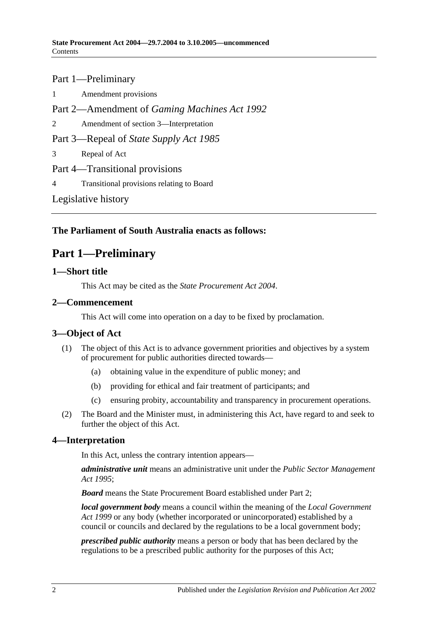# Part 1—Preliminary

1 [Amendment provisions](#page-10-1) Part 2—Amendment of *Gaming Machines Act 1992* 2 [Amendment of section 3—Interpretation](#page-10-2) Part 3—Repeal of *State Supply Act 1985* 3 [Repeal of Act](#page-10-3) Part 4—Transitional provisions 4 [Transitional provisions relating to Board](#page-10-4) [Legislative history](#page-11-0)

### <span id="page-1-0"></span>**The Parliament of South Australia enacts as follows:**

# **Part 1—Preliminary**

#### <span id="page-1-1"></span>**1—Short title**

This Act may be cited as the *State Procurement Act 2004*.

#### <span id="page-1-2"></span>**2—Commencement**

This Act will come into operation on a day to be fixed by proclamation.

#### <span id="page-1-3"></span>**3—Object of Act**

- (1) The object of this Act is to advance government priorities and objectives by a system of procurement for public authorities directed towards—
	- (a) obtaining value in the expenditure of public money; and
	- (b) providing for ethical and fair treatment of participants; and
	- (c) ensuring probity, accountability and transparency in procurement operations.
- (2) The Board and the Minister must, in administering this Act, have regard to and seek to further the object of this Act.

#### <span id="page-1-4"></span>**4—Interpretation**

In this Act, unless the contrary intention appears—

*administrative unit* means an administrative unit under the *[Public Sector Management](http://www.legislation.sa.gov.au/index.aspx?action=legref&type=act&legtitle=Public%20Sector%20Management%20Act%201995)  Act [1995](http://www.legislation.sa.gov.au/index.aspx?action=legref&type=act&legtitle=Public%20Sector%20Management%20Act%201995)*;

*Board* means the State Procurement Board established under [Part 2;](#page-3-1)

*local government body* means a council within the meaning of the *[Local Government](http://www.legislation.sa.gov.au/index.aspx?action=legref&type=act&legtitle=Local%20Government%20Act%201999)  Act [1999](http://www.legislation.sa.gov.au/index.aspx?action=legref&type=act&legtitle=Local%20Government%20Act%201999)* or any body (whether incorporated or unincorporated) established by a council or councils and declared by the regulations to be a local government body;

*prescribed public authority* means a person or body that has been declared by the regulations to be a prescribed public authority for the purposes of this Act;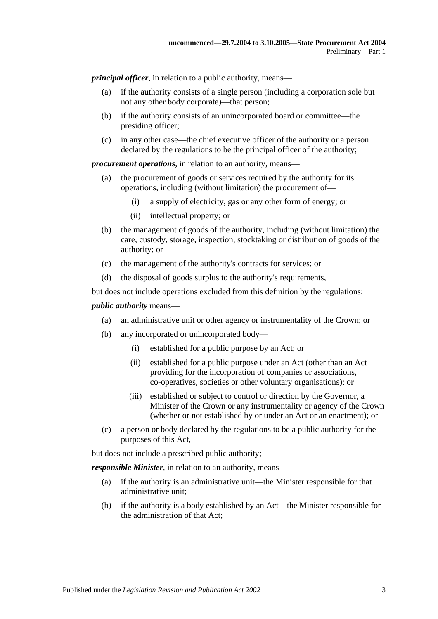*principal officer*, in relation to a public authority, means—

- (a) if the authority consists of a single person (including a corporation sole but not any other body corporate)—that person;
- (b) if the authority consists of an unincorporated board or committee—the presiding officer;
- (c) in any other case—the chief executive officer of the authority or a person declared by the regulations to be the principal officer of the authority;

*procurement operations*, in relation to an authority, means—

- (a) the procurement of goods or services required by the authority for its operations, including (without limitation) the procurement of—
	- (i) a supply of electricity, gas or any other form of energy; or
	- (ii) intellectual property; or
- (b) the management of goods of the authority, including (without limitation) the care, custody, storage, inspection, stocktaking or distribution of goods of the authority; or
- (c) the management of the authority's contracts for services; or
- (d) the disposal of goods surplus to the authority's requirements,

but does not include operations excluded from this definition by the regulations;

#### *public authority* means—

- (a) an administrative unit or other agency or instrumentality of the Crown; or
- (b) any incorporated or unincorporated body—
	- (i) established for a public purpose by an Act; or
	- (ii) established for a public purpose under an Act (other than an Act providing for the incorporation of companies or associations, co-operatives, societies or other voluntary organisations); or
	- (iii) established or subject to control or direction by the Governor, a Minister of the Crown or any instrumentality or agency of the Crown (whether or not established by or under an Act or an enactment); or
- (c) a person or body declared by the regulations to be a public authority for the purposes of this Act,

but does not include a prescribed public authority;

*responsible Minister*, in relation to an authority, means—

- (a) if the authority is an administrative unit—the Minister responsible for that administrative unit;
- (b) if the authority is a body established by an Act—the Minister responsible for the administration of that Act;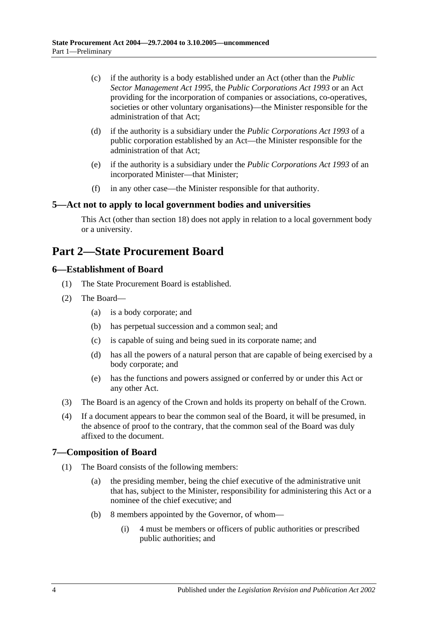- (c) if the authority is a body established under an Act (other than the *[Public](http://www.legislation.sa.gov.au/index.aspx?action=legref&type=act&legtitle=Public%20Sector%20Management%20Act%201995)  [Sector Management Act](http://www.legislation.sa.gov.au/index.aspx?action=legref&type=act&legtitle=Public%20Sector%20Management%20Act%201995) 1995*, the *[Public Corporations Act](http://www.legislation.sa.gov.au/index.aspx?action=legref&type=act&legtitle=Public%20Corporations%20Act%201993) 1993* or an Act providing for the incorporation of companies or associations, co-operatives, societies or other voluntary organisations)—the Minister responsible for the administration of that Act;
- (d) if the authority is a subsidiary under the *[Public Corporations Act](http://www.legislation.sa.gov.au/index.aspx?action=legref&type=act&legtitle=Public%20Corporations%20Act%201993) 1993* of a public corporation established by an Act—the Minister responsible for the administration of that Act;
- (e) if the authority is a subsidiary under the *[Public Corporations Act](http://www.legislation.sa.gov.au/index.aspx?action=legref&type=act&legtitle=Public%20Corporations%20Act%201993) 1993* of an incorporated Minister—that Minister;
- (f) in any other case—the Minister responsible for that authority.

#### <span id="page-3-0"></span>**5—Act not to apply to local government bodies and universities**

This Act (other than [section](#page-8-2) 18) does not apply in relation to a local government body or a university.

## <span id="page-3-1"></span>**Part 2—State Procurement Board**

#### <span id="page-3-2"></span>**6—Establishment of Board**

- (1) The State Procurement Board is established.
- (2) The Board—
	- (a) is a body corporate; and
	- (b) has perpetual succession and a common seal; and
	- (c) is capable of suing and being sued in its corporate name; and
	- (d) has all the powers of a natural person that are capable of being exercised by a body corporate; and
	- (e) has the functions and powers assigned or conferred by or under this Act or any other Act.
- (3) The Board is an agency of the Crown and holds its property on behalf of the Crown.
- (4) If a document appears to bear the common seal of the Board, it will be presumed, in the absence of proof to the contrary, that the common seal of the Board was duly affixed to the document.

#### <span id="page-3-3"></span>**7—Composition of Board**

- <span id="page-3-5"></span><span id="page-3-4"></span>(1) The Board consists of the following members:
	- (a) the presiding member, being the chief executive of the administrative unit that has, subject to the Minister, responsibility for administering this Act or a nominee of the chief executive; and
	- (b) 8 members appointed by the Governor, of whom—
		- (i) 4 must be members or officers of public authorities or prescribed public authorities; and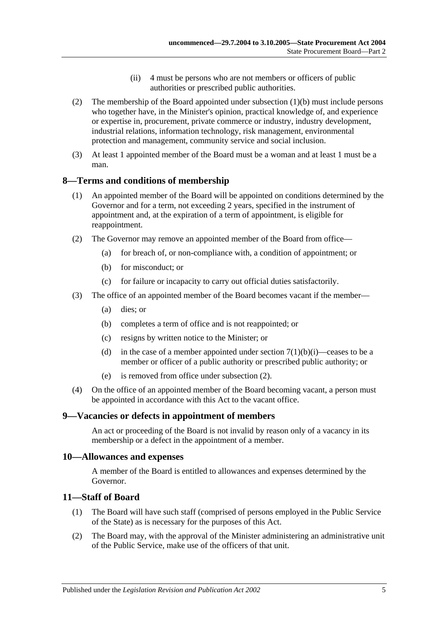- (ii) 4 must be persons who are not members or officers of public authorities or prescribed public authorities.
- (2) The membership of the Board appointed under [subsection](#page-3-4) (1)(b) must include persons who together have, in the Minister's opinion, practical knowledge of, and experience or expertise in, procurement, private commerce or industry, industry development, industrial relations, information technology, risk management, environmental protection and management, community service and social inclusion.
- (3) At least 1 appointed member of the Board must be a woman and at least 1 must be a man.

#### <span id="page-4-0"></span>**8—Terms and conditions of membership**

- (1) An appointed member of the Board will be appointed on conditions determined by the Governor and for a term, not exceeding 2 years, specified in the instrument of appointment and, at the expiration of a term of appointment, is eligible for reappointment.
- <span id="page-4-4"></span>(2) The Governor may remove an appointed member of the Board from office—
	- (a) for breach of, or non-compliance with, a condition of appointment; or
	- (b) for misconduct; or
	- (c) for failure or incapacity to carry out official duties satisfactorily.
- (3) The office of an appointed member of the Board becomes vacant if the member—
	- (a) dies; or
	- (b) completes a term of office and is not reappointed; or
	- (c) resigns by written notice to the Minister; or
	- (d) in the case of a member appointed under section  $7(1)(b)(i)$ —ceases to be a member or officer of a public authority or prescribed public authority; or
	- (e) is removed from office under [subsection](#page-4-4) (2).
- (4) On the office of an appointed member of the Board becoming vacant, a person must be appointed in accordance with this Act to the vacant office.

#### <span id="page-4-1"></span>**9—Vacancies or defects in appointment of members**

An act or proceeding of the Board is not invalid by reason only of a vacancy in its membership or a defect in the appointment of a member.

#### <span id="page-4-2"></span>**10—Allowances and expenses**

A member of the Board is entitled to allowances and expenses determined by the Governor.

#### <span id="page-4-3"></span>**11—Staff of Board**

- (1) The Board will have such staff (comprised of persons employed in the Public Service of the State) as is necessary for the purposes of this Act.
- (2) The Board may, with the approval of the Minister administering an administrative unit of the Public Service, make use of the officers of that unit.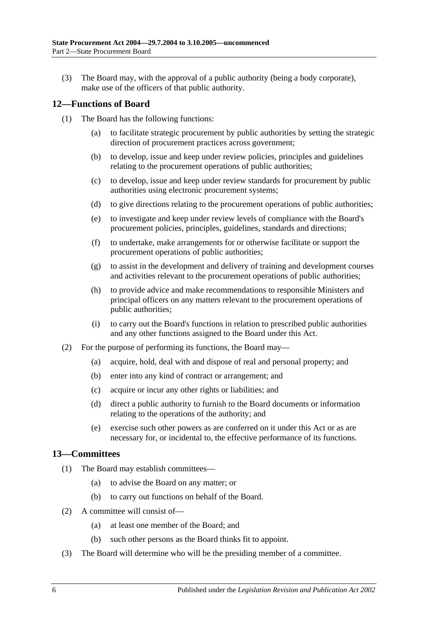(3) The Board may, with the approval of a public authority (being a body corporate), make use of the officers of that public authority.

#### <span id="page-5-0"></span>**12—Functions of Board**

- (1) The Board has the following functions:
	- (a) to facilitate strategic procurement by public authorities by setting the strategic direction of procurement practices across government;
	- (b) to develop, issue and keep under review policies, principles and guidelines relating to the procurement operations of public authorities;
	- (c) to develop, issue and keep under review standards for procurement by public authorities using electronic procurement systems;
	- (d) to give directions relating to the procurement operations of public authorities;
	- (e) to investigate and keep under review levels of compliance with the Board's procurement policies, principles, guidelines, standards and directions;
	- (f) to undertake, make arrangements for or otherwise facilitate or support the procurement operations of public authorities;
	- (g) to assist in the development and delivery of training and development courses and activities relevant to the procurement operations of public authorities;
	- (h) to provide advice and make recommendations to responsible Ministers and principal officers on any matters relevant to the procurement operations of public authorities;
	- (i) to carry out the Board's functions in relation to prescribed public authorities and any other functions assigned to the Board under this Act.
- (2) For the purpose of performing its functions, the Board may—
	- (a) acquire, hold, deal with and dispose of real and personal property; and
	- (b) enter into any kind of contract or arrangement; and
	- (c) acquire or incur any other rights or liabilities; and
	- (d) direct a public authority to furnish to the Board documents or information relating to the operations of the authority; and
	- (e) exercise such other powers as are conferred on it under this Act or as are necessary for, or incidental to, the effective performance of its functions.

#### <span id="page-5-1"></span>**13—Committees**

- (1) The Board may establish committees—
	- (a) to advise the Board on any matter; or
	- (b) to carry out functions on behalf of the Board.
- (2) A committee will consist of—
	- (a) at least one member of the Board; and
	- (b) such other persons as the Board thinks fit to appoint.
- (3) The Board will determine who will be the presiding member of a committee.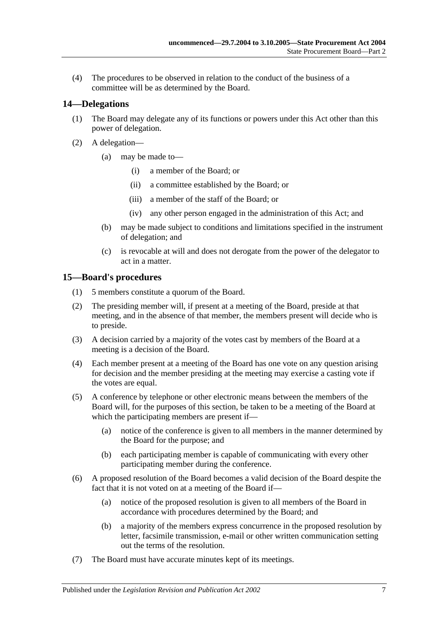(4) The procedures to be observed in relation to the conduct of the business of a committee will be as determined by the Board.

#### <span id="page-6-0"></span>**14—Delegations**

- (1) The Board may delegate any of its functions or powers under this Act other than this power of delegation.
- (2) A delegation—
	- (a) may be made to—
		- (i) a member of the Board; or
		- (ii) a committee established by the Board; or
		- (iii) a member of the staff of the Board; or
		- (iv) any other person engaged in the administration of this Act; and
	- (b) may be made subject to conditions and limitations specified in the instrument of delegation; and
	- (c) is revocable at will and does not derogate from the power of the delegator to act in a matter.

#### <span id="page-6-1"></span>**15—Board's procedures**

- (1) 5 members constitute a quorum of the Board.
- (2) The presiding member will, if present at a meeting of the Board, preside at that meeting, and in the absence of that member, the members present will decide who is to preside.
- (3) A decision carried by a majority of the votes cast by members of the Board at a meeting is a decision of the Board.
- (4) Each member present at a meeting of the Board has one vote on any question arising for decision and the member presiding at the meeting may exercise a casting vote if the votes are equal.
- (5) A conference by telephone or other electronic means between the members of the Board will, for the purposes of this section, be taken to be a meeting of the Board at which the participating members are present if—
	- (a) notice of the conference is given to all members in the manner determined by the Board for the purpose; and
	- (b) each participating member is capable of communicating with every other participating member during the conference.
- (6) A proposed resolution of the Board becomes a valid decision of the Board despite the fact that it is not voted on at a meeting of the Board if—
	- (a) notice of the proposed resolution is given to all members of the Board in accordance with procedures determined by the Board; and
	- (b) a majority of the members express concurrence in the proposed resolution by letter, facsimile transmission, e-mail or other written communication setting out the terms of the resolution.
- (7) The Board must have accurate minutes kept of its meetings.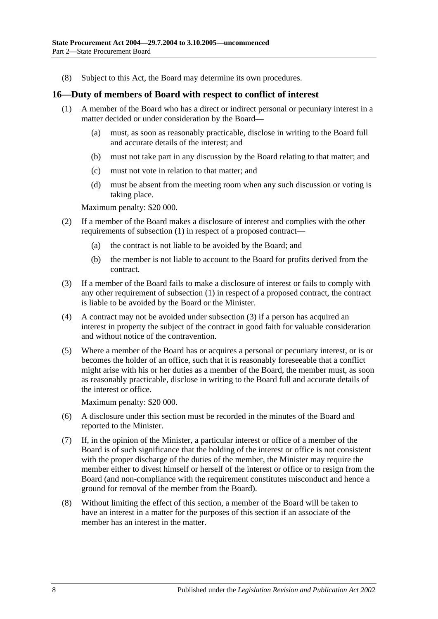(8) Subject to this Act, the Board may determine its own procedures.

#### <span id="page-7-0"></span>**16—Duty of members of Board with respect to conflict of interest**

- (1) A member of the Board who has a direct or indirect personal or pecuniary interest in a matter decided or under consideration by the Board—
	- (a) must, as soon as reasonably practicable, disclose in writing to the Board full and accurate details of the interest; and
	- (b) must not take part in any discussion by the Board relating to that matter; and
	- (c) must not vote in relation to that matter; and
	- (d) must be absent from the meeting room when any such discussion or voting is taking place.

Maximum penalty: \$20 000.

- (2) If a member of the Board makes a disclosure of interest and complies with the other requirements of subsection (1) in respect of a proposed contract—
	- (a) the contract is not liable to be avoided by the Board; and
	- (b) the member is not liable to account to the Board for profits derived from the contract.
- (3) If a member of the Board fails to make a disclosure of interest or fails to comply with any other requirement of subsection (1) in respect of a proposed contract, the contract is liable to be avoided by the Board or the Minister.
- (4) A contract may not be avoided under subsection (3) if a person has acquired an interest in property the subject of the contract in good faith for valuable consideration and without notice of the contravention.
- (5) Where a member of the Board has or acquires a personal or pecuniary interest, or is or becomes the holder of an office, such that it is reasonably foreseeable that a conflict might arise with his or her duties as a member of the Board, the member must, as soon as reasonably practicable, disclose in writing to the Board full and accurate details of the interest or office.

Maximum penalty: \$20 000.

- (6) A disclosure under this section must be recorded in the minutes of the Board and reported to the Minister.
- (7) If, in the opinion of the Minister, a particular interest or office of a member of the Board is of such significance that the holding of the interest or office is not consistent with the proper discharge of the duties of the member, the Minister may require the member either to divest himself or herself of the interest or office or to resign from the Board (and non-compliance with the requirement constitutes misconduct and hence a ground for removal of the member from the Board).
- (8) Without limiting the effect of this section, a member of the Board will be taken to have an interest in a matter for the purposes of this section if an associate of the member has an interest in the matter.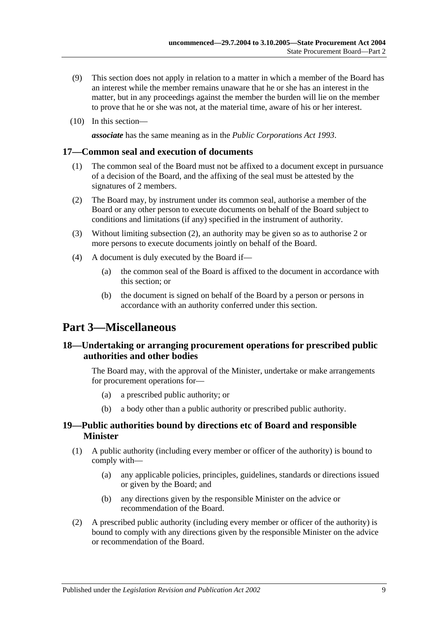- (9) This section does not apply in relation to a matter in which a member of the Board has an interest while the member remains unaware that he or she has an interest in the matter, but in any proceedings against the member the burden will lie on the member to prove that he or she was not, at the material time, aware of his or her interest.
- (10) In this section—

*associate* has the same meaning as in the *[Public Corporations Act](http://www.legislation.sa.gov.au/index.aspx?action=legref&type=act&legtitle=Public%20Corporations%20Act%201993) 1993*.

#### <span id="page-8-0"></span>**17—Common seal and execution of documents**

- (1) The common seal of the Board must not be affixed to a document except in pursuance of a decision of the Board, and the affixing of the seal must be attested by the signatures of 2 members.
- <span id="page-8-4"></span>(2) The Board may, by instrument under its common seal, authorise a member of the Board or any other person to execute documents on behalf of the Board subject to conditions and limitations (if any) specified in the instrument of authority.
- (3) Without limiting [subsection](#page-8-4) (2), an authority may be given so as to authorise 2 or more persons to execute documents jointly on behalf of the Board.
- (4) A document is duly executed by the Board if—
	- (a) the common seal of the Board is affixed to the document in accordance with this section; or
	- (b) the document is signed on behalf of the Board by a person or persons in accordance with an authority conferred under this section.

### <span id="page-8-1"></span>**Part 3—Miscellaneous**

#### <span id="page-8-2"></span>**18—Undertaking or arranging procurement operations for prescribed public authorities and other bodies**

The Board may, with the approval of the Minister, undertake or make arrangements for procurement operations for—

- (a) a prescribed public authority; or
- (b) a body other than a public authority or prescribed public authority.

#### <span id="page-8-3"></span>**19—Public authorities bound by directions etc of Board and responsible Minister**

- (1) A public authority (including every member or officer of the authority) is bound to comply with—
	- (a) any applicable policies, principles, guidelines, standards or directions issued or given by the Board; and
	- (b) any directions given by the responsible Minister on the advice or recommendation of the Board.
- (2) A prescribed public authority (including every member or officer of the authority) is bound to comply with any directions given by the responsible Minister on the advice or recommendation of the Board.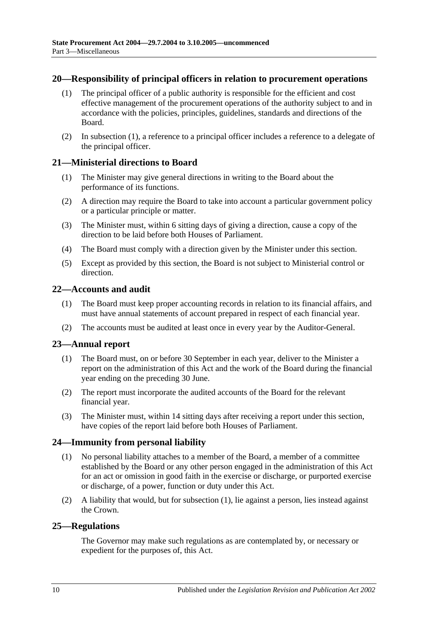#### <span id="page-9-6"></span><span id="page-9-0"></span>**20—Responsibility of principal officers in relation to procurement operations**

- (1) The principal officer of a public authority is responsible for the efficient and cost effective management of the procurement operations of the authority subject to and in accordance with the policies, principles, guidelines, standards and directions of the Board.
- (2) In [subsection](#page-9-6) (1), a reference to a principal officer includes a reference to a delegate of the principal officer.

#### <span id="page-9-1"></span>**21—Ministerial directions to Board**

- (1) The Minister may give general directions in writing to the Board about the performance of its functions.
- (2) A direction may require the Board to take into account a particular government policy or a particular principle or matter.
- (3) The Minister must, within 6 sitting days of giving a direction, cause a copy of the direction to be laid before both Houses of Parliament.
- (4) The Board must comply with a direction given by the Minister under this section.
- (5) Except as provided by this section, the Board is not subject to Ministerial control or direction.

#### <span id="page-9-2"></span>**22—Accounts and audit**

- (1) The Board must keep proper accounting records in relation to its financial affairs, and must have annual statements of account prepared in respect of each financial year.
- (2) The accounts must be audited at least once in every year by the Auditor-General.

#### <span id="page-9-3"></span>**23—Annual report**

- (1) The Board must, on or before 30 September in each year, deliver to the Minister a report on the administration of this Act and the work of the Board during the financial year ending on the preceding 30 June.
- (2) The report must incorporate the audited accounts of the Board for the relevant financial year.
- (3) The Minister must, within 14 sitting days after receiving a report under this section, have copies of the report laid before both Houses of Parliament.

#### <span id="page-9-4"></span>**24—Immunity from personal liability**

- (1) No personal liability attaches to a member of the Board, a member of a committee established by the Board or any other person engaged in the administration of this Act for an act or omission in good faith in the exercise or discharge, or purported exercise or discharge, of a power, function or duty under this Act.
- (2) A liability that would, but for subsection (1), lie against a person, lies instead against the Crown.

#### <span id="page-9-5"></span>**25—Regulations**

The Governor may make such regulations as are contemplated by, or necessary or expedient for the purposes of, this Act.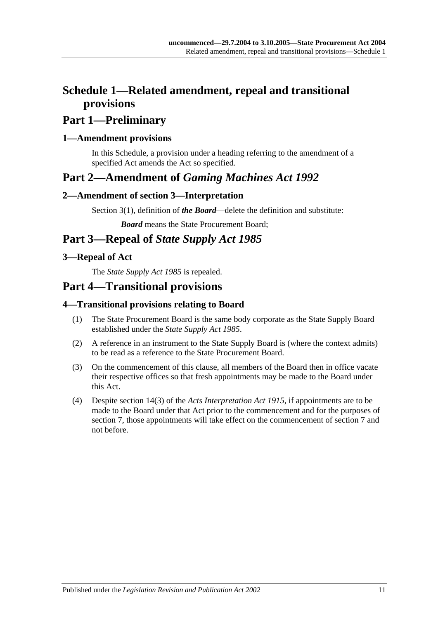# <span id="page-10-0"></span>**Schedule 1—Related amendment, repeal and transitional provisions**

# **Part 1—Preliminary**

### <span id="page-10-1"></span>**1—Amendment provisions**

In this Schedule, a provision under a heading referring to the amendment of a specified Act amends the Act so specified.

# **Part 2—Amendment of** *Gaming Machines Act 1992*

### <span id="page-10-2"></span>**2—Amendment of section 3—Interpretation**

Section 3(1), definition of *the Board*—delete the definition and substitute:

*Board* means the State Procurement Board;

# **Part 3—Repeal of** *State Supply Act 1985*

### <span id="page-10-3"></span>**3—Repeal of Act**

The *[State Supply Act](http://www.legislation.sa.gov.au/index.aspx?action=legref&type=act&legtitle=State%20Supply%20Act%201985) 1985* is repealed.

# **Part 4—Transitional provisions**

### <span id="page-10-4"></span>**4—Transitional provisions relating to Board**

- (1) The State Procurement Board is the same body corporate as the State Supply Board established under the *[State Supply Act](http://www.legislation.sa.gov.au/index.aspx?action=legref&type=act&legtitle=State%20Supply%20Act%201985) 1985*.
- (2) A reference in an instrument to the State Supply Board is (where the context admits) to be read as a reference to the State Procurement Board.
- (3) On the commencement of this clause, all members of the Board then in office vacate their respective offices so that fresh appointments may be made to the Board under this Act.
- (4) Despite section 14(3) of the *[Acts Interpretation Act](http://www.legislation.sa.gov.au/index.aspx?action=legref&type=act&legtitle=Acts%20Interpretation%20Act%201915) 1915*, if appointments are to be made to the Board under that Act prior to the commencement and for the purposes of [section](#page-3-3) 7, those appointments will take effect on the commencement of [section](#page-3-3) 7 and not before.